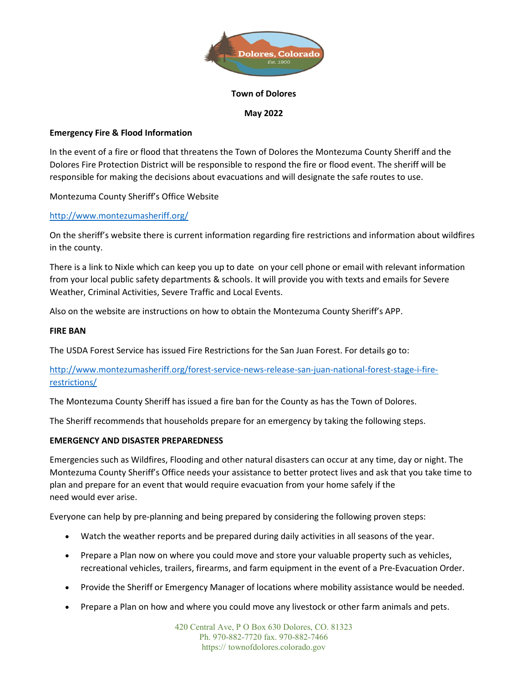

### Town of Dolores

### May 2022

# Emergency Fire & Flood Information

In the event of a fire or flood that threatens the Town of Dolores the Montezuma County Sheriff and the Dolores Fire Protection District will be responsible to respond the fire or flood event. The sheriff will be responsible for making the decisions about evacuations and will designate the safe routes to use.

Montezuma County Sheriff's Office Website

# http://www.montezumasheriff.org/

On the sheriff's website there is current information regarding fire restrictions and information about wildfires in the county.

There is a link to Nixle which can keep you up to date on your cell phone or email with relevant information from your local public safety departments & schools. It will provide you with texts and emails for Severe Weather, Criminal Activities, Severe Traffic and Local Events.

Also on the website are instructions on how to obtain the Montezuma County Sheriff's APP.

### FIRE BAN

The USDA Forest Service has issued Fire Restrictions for the San Juan Forest. For details go to:

http://www.montezumasheriff.org/forest-service-news-release-san-juan-national-forest-stage-i-firerestrictions/

The Montezuma County Sheriff has issued a fire ban for the County as has the Town of Dolores.

The Sheriff recommends that households prepare for an emergency by taking the following steps.

# EMERGENCY AND DISASTER PREPAREDNESS

Emergencies such as Wildfires, Flooding and other natural disasters can occur at any time, day or night. The Montezuma County Sheriff's Office needs your assistance to better protect lives and ask that you take time to plan and prepare for an event that would require evacuation from your home safely if the need would ever arise.

Everyone can help by pre-planning and being prepared by considering the following proven steps:

- Watch the weather reports and be prepared during daily activities in all seasons of the year.
- Prepare a Plan now on where you could move and store your valuable property such as vehicles, recreational vehicles, trailers, firearms, and farm equipment in the event of a Pre-Evacuation Order.
- Provide the Sheriff or Emergency Manager of locations where mobility assistance would be needed.
- Prepare a Plan on how and where you could move any livestock or other farm animals and pets.